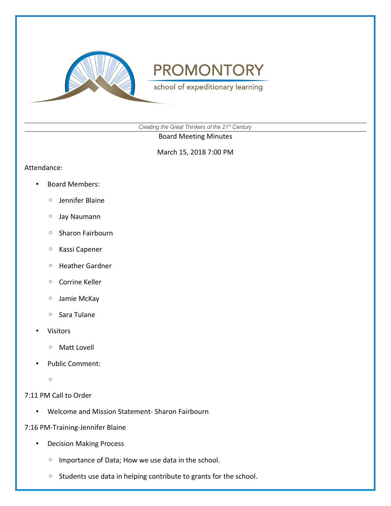

school of expeditionary learning

*Creating the Great Thinkers of the 21st Century*

Board Meeting Minutes

March 15, 2018 7:00 PM

#### Attendance:

- Board Members:
	- Jennifer Blaine
	- Jay Naumann
	- Sharon Fairbourn
	- Kassi Capener
	- Heather Gardner
	- Corrine Keller
	- Jamie McKay
	- Sara Tulane
- Visitors
	- Matt Lovell
- Public Comment:
	- $\circ$

### 7:11 PM Call to Order

• Welcome and Mission Statement- Sharon Fairbourn

### 7:16 PM-Training-Jennifer Blaine

- Decision Making Process
	- Importance of Data; How we use data in the school.
	- Students use data in helping contribute to grants for the school.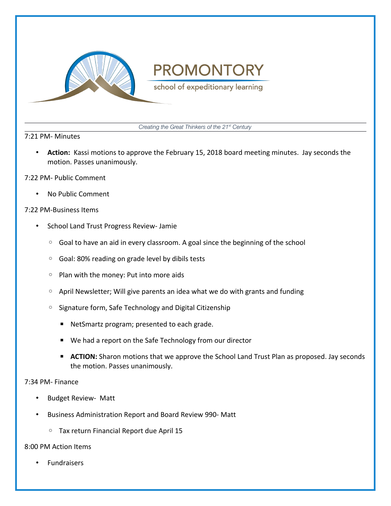

school of expeditionary learning

*Creating the Great Thinkers of the 21st Century*

#### 7:21 PM- Minutes

• **Action:** Kassi motions to approve the February 15, 2018 board meeting minutes. Jay seconds the motion. Passes unanimously.

#### 7:22 PM- Public Comment

• No Public Comment

#### 7:22 PM-Business Items

- School Land Trust Progress Review- Jamie
	- Goal to have an aid in every classroom. A goal since the beginning of the school
	- Goal: 80% reading on grade level by dibils tests
	- Plan with the money: Put into more aids
	- April Newsletter; Will give parents an idea what we do with grants and funding
	- Signature form, Safe Technology and Digital Citizenship
		- NetSmartz program; presented to each grade.
		- We had a report on the Safe Technology from our director
		- **E** ACTION: Sharon motions that we approve the School Land Trust Plan as proposed. Jay seconds the motion. Passes unanimously.

#### 7:34 PM- Finance

- Budget Review- Matt
- Business Administration Report and Board Review 990- Matt
	- Tax return Financial Report due April 15

#### 8:00 PM Action Items

**Fundraisers**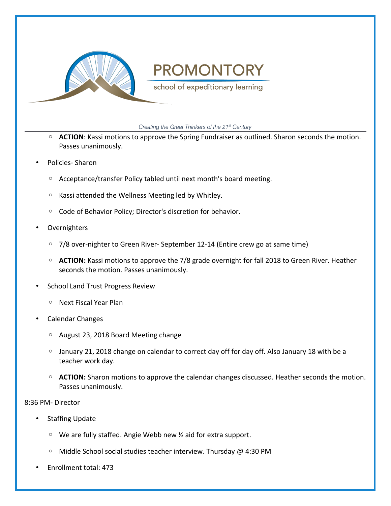

school of expeditionary learning

*Creating the Great Thinkers of the 21st Century*

- **ACTION**: Kassi motions to approve the Spring Fundraiser as outlined. Sharon seconds the motion. Passes unanimously.
- Policies- Sharon
	- Acceptance/transfer Policy tabled until next month's board meeting.
	- Kassi attended the Wellness Meeting led by Whitley.
	- Code of Behavior Policy; Director's discretion for behavior.
- **Overnighters** 
	- 7/8 over-nighter to Green River- September 12-14 (Entire crew go at same time)
	- **ACTION:** Kassi motions to approve the 7/8 grade overnight for fall 2018 to Green River. Heather seconds the motion. Passes unanimously.
- School Land Trust Progress Review
	- Next Fiscal Year Plan
- Calendar Changes
	- August 23, 2018 Board Meeting change
	- January 21, 2018 change on calendar to correct day off for day off. Also January 18 with be a teacher work day.
	- **ACTION:** Sharon motions to approve the calendar changes discussed. Heather seconds the motion. Passes unanimously.

8:36 PM- Director

- Staffing Update
	- We are fully staffed. Angie Webb new ½ aid for extra support.
	- Middle School social studies teacher interview. Thursday @ 4:30 PM
- Enrollment total: 473